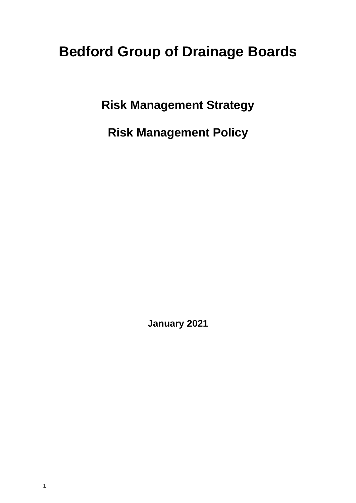# **Bedford Group of Drainage Boards**

**Risk Management Strategy**

**Risk Management Policy**

**January 2021**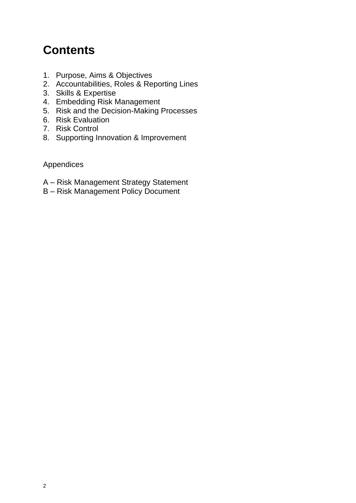# **Contents**

- 1. Purpose, Aims & Objectives
- 2. Accountabilities, Roles & Reporting Lines
- 3. Skills & Expertise
- 4. Embedding Risk Management
- 5. Risk and the Decision-Making Processes
- 6. Risk Evaluation
- 7. Risk Control
- 8. Supporting Innovation & Improvement

Appendices

- A Risk Management Strategy Statement
- B Risk Management Policy Document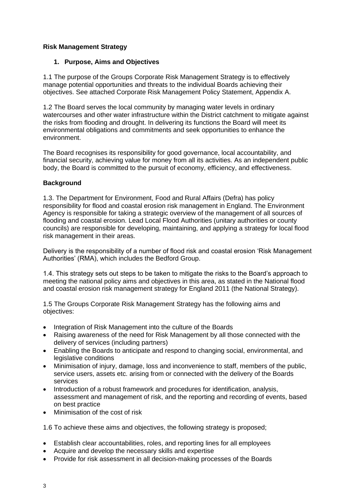#### **Risk Management Strategy**

#### **1. Purpose, Aims and Objectives**

1.1 The purpose of the Groups Corporate Risk Management Strategy is to effectively manage potential opportunities and threats to the individual Boards achieving their objectives. See attached Corporate Risk Management Policy Statement, Appendix A.

1.2 The Board serves the local community by managing water levels in ordinary watercourses and other water infrastructure within the District catchment to mitigate against the risks from flooding and drought. In delivering its functions the Board will meet its environmental obligations and commitments and seek opportunities to enhance the environment.

The Board recognises its responsibility for good governance, local accountability, and financial security, achieving value for money from all its activities. As an independent public body, the Board is committed to the pursuit of economy, efficiency, and effectiveness.

# **Background**

1.3. The Department for Environment, Food and Rural Affairs (Defra) has policy responsibility for flood and coastal erosion risk management in England. The Environment Agency is responsible for taking a strategic overview of the management of all sources of flooding and coastal erosion. Lead Local Flood Authorities (unitary authorities or county councils) are responsible for developing, maintaining, and applying a strategy for local flood risk management in their areas.

Delivery is the responsibility of a number of flood risk and coastal erosion 'Risk Management Authorities' (RMA), which includes the Bedford Group.

1.4. This strategy sets out steps to be taken to mitigate the risks to the Board's approach to meeting the national policy aims and objectives in this area, as stated in the National flood and coastal erosion risk management strategy for England 2011 (the National Strategy).

1.5 The Groups Corporate Risk Management Strategy has the following aims and objectives:

- Integration of Risk Management into the culture of the Boards
- Raising awareness of the need for Risk Management by all those connected with the delivery of services (including partners)
- Enabling the Boards to anticipate and respond to changing social, environmental, and legislative conditions
- Minimisation of injury, damage, loss and inconvenience to staff, members of the public, service users, assets etc. arising from or connected with the delivery of the Boards services
- Introduction of a robust framework and procedures for identification, analysis, assessment and management of risk, and the reporting and recording of events, based on best practice
- Minimisation of the cost of risk

1.6 To achieve these aims and objectives, the following strategy is proposed;

- Establish clear accountabilities, roles, and reporting lines for all employees
- Acquire and develop the necessary skills and expertise
- Provide for risk assessment in all decision-making processes of the Boards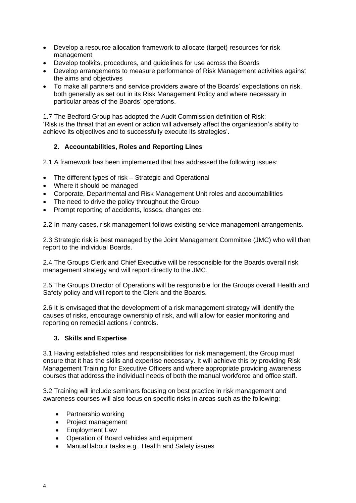- Develop a resource allocation framework to allocate (target) resources for risk management
- Develop toolkits, procedures, and guidelines for use across the Boards
- Develop arrangements to measure performance of Risk Management activities against the aims and objectives
- To make all partners and service providers aware of the Boards' expectations on risk, both generally as set out in its Risk Management Policy and where necessary in particular areas of the Boards' operations.

1.7 The Bedford Group has adopted the Audit Commission definition of Risk: 'Risk is the threat that an event or action will adversely affect the organisation's ability to achieve its objectives and to successfully execute its strategies'.

#### **2. Accountabilities, Roles and Reporting Lines**

2.1 A framework has been implemented that has addressed the following issues:

- The different types of risk Strategic and Operational
- Where it should be managed
- Corporate, Departmental and Risk Management Unit roles and accountabilities
- The need to drive the policy throughout the Group
- Prompt reporting of accidents, losses, changes etc.

2.2 In many cases, risk management follows existing service management arrangements.

2.3 Strategic risk is best managed by the Joint Management Committee (JMC) who will then report to the individual Boards.

2.4 The Groups Clerk and Chief Executive will be responsible for the Boards overall risk management strategy and will report directly to the JMC.

2.5 The Groups Director of Operations will be responsible for the Groups overall Health and Safety policy and will report to the Clerk and the Boards.

2.6 It is envisaged that the development of a risk management strategy will identify the causes of risks, encourage ownership of risk, and will allow for easier monitoring and reporting on remedial actions / controls.

#### **3. Skills and Expertise**

3.1 Having established roles and responsibilities for risk management, the Group must ensure that it has the skills and expertise necessary. It will achieve this by providing Risk Management Training for Executive Officers and where appropriate providing awareness courses that address the individual needs of both the manual workforce and office staff.

3.2 Training will include seminars focusing on best practice in risk management and awareness courses will also focus on specific risks in areas such as the following:

- Partnership working
- Project management
- Employment Law
- Operation of Board vehicles and equipment
- Manual labour tasks e.g., Health and Safety issues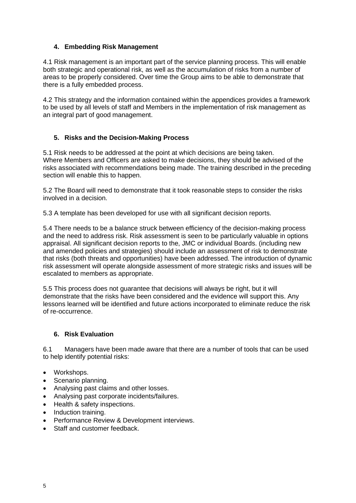#### **4. Embedding Risk Management**

4.1 Risk management is an important part of the service planning process. This will enable both strategic and operational risk, as well as the accumulation of risks from a number of areas to be properly considered. Over time the Group aims to be able to demonstrate that there is a fully embedded process.

4.2 This strategy and the information contained within the appendices provides a framework to be used by all levels of staff and Members in the implementation of risk management as an integral part of good management.

# **5. Risks and the Decision-Making Process**

5.1 Risk needs to be addressed at the point at which decisions are being taken. Where Members and Officers are asked to make decisions, they should be advised of the risks associated with recommendations being made. The training described in the preceding section will enable this to happen.

5.2 The Board will need to demonstrate that it took reasonable steps to consider the risks involved in a decision.

5.3 A template has been developed for use with all significant decision reports.

5.4 There needs to be a balance struck between efficiency of the decision-making process and the need to address risk. Risk assessment is seen to be particularly valuable in options appraisal. All significant decision reports to the, JMC or individual Boards. (including new and amended policies and strategies) should include an assessment of risk to demonstrate that risks (both threats and opportunities) have been addressed. The introduction of dynamic risk assessment will operate alongside assessment of more strategic risks and issues will be escalated to members as appropriate.

5.5 This process does not guarantee that decisions will always be right, but it will demonstrate that the risks have been considered and the evidence will support this. Any lessons learned will be identified and future actions incorporated to eliminate reduce the risk of re-occurrence.

#### **6. Risk Evaluation**

6.1 Managers have been made aware that there are a number of tools that can be used to help identify potential risks:

- Workshops.
- Scenario planning.
- Analysing past claims and other losses.
- Analysing past corporate incidents/failures.
- Health & safety inspections.
- Induction training.
- Performance Review & Development interviews.
- Staff and customer feedback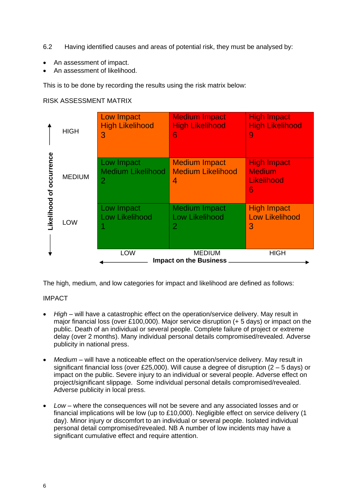- 6.2 Having identified causes and areas of potential risk, they must be analysed by:
- An assessment of impact.
- An assessment of likelihood.

This is to be done by recording the results using the risk matrix below:

### RISK ASSESSMENT MATRIX

|                 | <b>HIGH</b>   | Low Impact<br><b>High Likelihood</b><br>3                | <b>Medium Impact</b><br><b>High Likelihood</b><br>6             | <b>High Impact</b><br><b>High Likelihood</b><br>9      |
|-----------------|---------------|----------------------------------------------------------|-----------------------------------------------------------------|--------------------------------------------------------|
| occurrence<br>৳ | <b>MEDIUM</b> | Low Impact<br><b>Medium Likelihood</b><br>$\overline{2}$ | <b>Medium Impact</b><br><b>Medium Likelihood</b><br>4           | <b>High Impact</b><br><b>Medium</b><br>Likelihood<br>6 |
| ikelihood       | <b>LOW</b>    | Low Impact<br><b>Low Likelihood</b>                      | <b>Medium Impact</b><br><b>Low Likelihood</b><br>$\overline{2}$ | <b>High Impact</b><br><b>Low Likelihood</b><br>3       |
|                 |               | <b>LOW</b>                                               | <b>MEDIUM</b><br><b>Impact on the Business</b>                  | <b>HIGH</b>                                            |

The high, medium, and low categories for impact and likelihood are defined as follows:

# IMPACT

- *High* will have a catastrophic effect on the operation/service delivery. May result in major financial loss (over £100,000). Major service disruption (+ 5 days) or impact on the public. Death of an individual or several people. Complete failure of project or extreme delay (over 2 months). Many individual personal details compromised/revealed. Adverse publicity in national press.
- *Medium* will have a noticeable effect on the operation/service delivery. May result in significant financial loss (over £25,000). Will cause a degree of disruption (2 – 5 days) or impact on the public. Severe injury to an individual or several people. Adverse effect on project/significant slippage. Some individual personal details compromised/revealed. Adverse publicity in local press.
- *Low* where the consequences will not be severe and any associated losses and or financial implications will be low (up to £10,000). Negligible effect on service delivery (1 day). Minor injury or discomfort to an individual or several people. Isolated individual personal detail compromised/revealed. NB A number of low incidents may have a significant cumulative effect and require attention.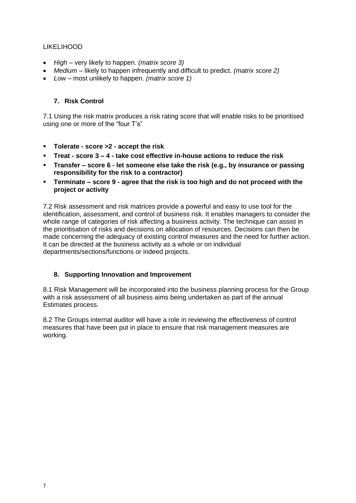#### LIKELIHOOD

- *High* very likely to happen. *(matrix score 3)*
- *Medium* likely to happen infrequently and difficult to predict. *(matrix score 2)*
- *Low* most unlikely to happen. *(matrix score 1)*

# **7. Risk Control**

7.1 Using the risk matrix produces a risk rating score that will enable risks to be prioritised using one or more of the "four T's"

- **Tolerate - score >2 - accept the risk**
- **Treat - score 3 – 4 - take cost effective in-house actions to reduce the risk**
- **Transfer – score 6 - let someone else take the risk (e.g., by insurance or passing responsibility for the risk to a contractor)**
- **Terminate – score 9 - agree that the risk is too high and do not proceed with the project or activity**

7.2 Risk assessment and risk matrices provide a powerful and easy to use tool for the identification, assessment, and control of business risk. It enables managers to consider the whole range of categories of risk affecting a business activity. The technique can assist in the prioritisation of risks and decisions on allocation of resources. Decisions can then be made concerning the adequacy of existing control measures and the need for further action. It can be directed at the business activity as a whole or on individual departments/sections/functions or indeed projects.

# **8. Supporting Innovation and Improvement**

8.1 Risk Management will be incorporated into the business planning process for the Group with a risk assessment of all business aims being undertaken as part of the annual Estimates process.

8.2 The Groups internal auditor will have a role in reviewing the effectiveness of control measures that have been put in place to ensure that risk management measures are working.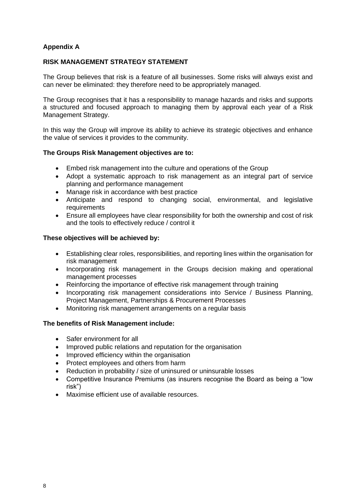# **Appendix A**

#### **RISK MANAGEMENT STRATEGY STATEMENT**

The Group believes that risk is a feature of all businesses. Some risks will always exist and can never be eliminated: they therefore need to be appropriately managed.

The Group recognises that it has a responsibility to manage hazards and risks and supports a structured and focused approach to managing them by approval each year of a Risk Management Strategy.

In this way the Group will improve its ability to achieve its strategic objectives and enhance the value of services it provides to the community.

#### **The Groups Risk Management objectives are to:**

- Embed risk management into the culture and operations of the Group
- Adopt a systematic approach to risk management as an integral part of service planning and performance management
- Manage risk in accordance with best practice
- Anticipate and respond to changing social, environmental, and legislative requirements
- Ensure all employees have clear responsibility for both the ownership and cost of risk and the tools to effectively reduce / control it

#### **These objectives will be achieved by:**

- Establishing clear roles, responsibilities, and reporting lines within the organisation for risk management
- Incorporating risk management in the Groups decision making and operational management processes
- Reinforcing the importance of effective risk management through training
- Incorporating risk management considerations into Service / Business Planning, Project Management, Partnerships & Procurement Processes
- Monitoring risk management arrangements on a regular basis

#### **The benefits of Risk Management include:**

- Safer environment for all
- Improved public relations and reputation for the organisation
- Improved efficiency within the organisation
- Protect employees and others from harm
- Reduction in probability / size of uninsured or uninsurable losses
- Competitive Insurance Premiums (as insurers recognise the Board as being a "low risk")
- Maximise efficient use of available resources.